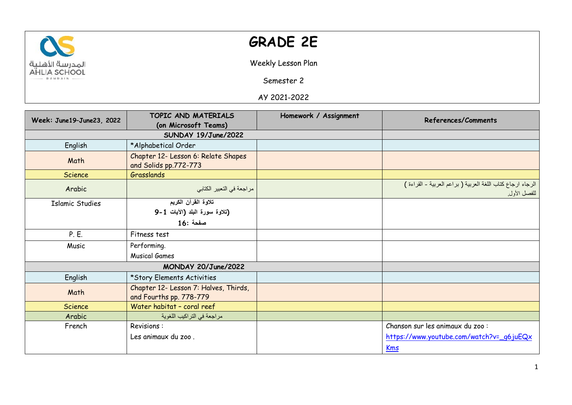

## **GRADE 2E**

Weekly Lesson Plan

Semester 2

AY 2021-2022

| Week: June19-June23, 2022 | TOPIC AND MATERIALS                                              | Homework / Assignment | References/Comments                                                       |
|---------------------------|------------------------------------------------------------------|-----------------------|---------------------------------------------------------------------------|
|                           | (on Microsoft Teams)                                             |                       |                                                                           |
|                           | SUNDAY 19/June/2022                                              |                       |                                                                           |
| English                   | *Alphabetical Order                                              |                       |                                                                           |
| Math                      | Chapter 12- Lesson 6: Relate Shapes<br>and Solids pp.772-773     |                       |                                                                           |
| Science                   | Grasslands                                                       |                       |                                                                           |
| Arabic                    | مراجعة في التعبير الكتابي                                        |                       | الرجاء ارجاع كتاب اللغة العربية (براعم العربية - القراءة )<br>للفصل الأول |
| <b>Islamic Studies</b>    | تلاوة القرآن الكريم                                              |                       |                                                                           |
|                           | (تلاوة سورة البلد (الأيات 1-9                                    |                       |                                                                           |
|                           | مفحة :16                                                         |                       |                                                                           |
| P. E.                     | Fitness test                                                     |                       |                                                                           |
| Music                     | Performing.                                                      |                       |                                                                           |
|                           | <b>Musical Games</b>                                             |                       |                                                                           |
|                           | MONDAY 20/June/2022                                              |                       |                                                                           |
| English                   | *Story Elements Activities                                       |                       |                                                                           |
| Math                      | Chapter 12- Lesson 7: Halves, Thirds,<br>and Fourths pp. 778-779 |                       |                                                                           |
| Science                   | Water habitat - coral reef                                       |                       |                                                                           |
| Arabic                    | مراجعة في التراكيب اللغوية                                       |                       |                                                                           |
| French                    | Revisions:                                                       |                       | Chanson sur les animaux du zoo :                                          |
|                           | Les animaux du zoo.                                              |                       | https://www.youtube.com/watch?v=_q6juEQx                                  |
|                           |                                                                  |                       | Kms                                                                       |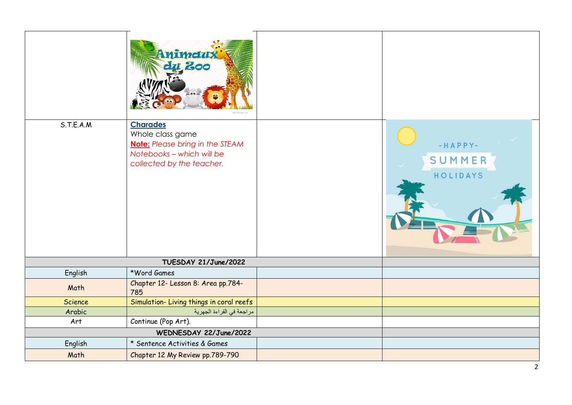|                        | nimety<br>200                                                                                                                           |  |                               |
|------------------------|-----------------------------------------------------------------------------------------------------------------------------------------|--|-------------------------------|
| S.T.E.A.M              | <b>Charades</b><br>Whole class game<br><b>Note:</b> Please bring in the STEAM<br>Notebooks - which will be<br>collected by the teacher. |  | -HAPPY-<br>SUMMER<br>HOLIDAYS |
| TUESDAY 21/June/2022   |                                                                                                                                         |  |                               |
| English                | *Word Games                                                                                                                             |  |                               |
| Math                   | Chapter 12- Lesson 8: Area pp.784-<br>785                                                                                               |  |                               |
| Science                | Simulation-Living things in coral reefs                                                                                                 |  |                               |
| Arabic                 | مراجعة في القراءة الجهرية                                                                                                               |  |                               |
| Art                    | Continue (Pop Art).                                                                                                                     |  |                               |
| WEDNESDAY 22/June/2022 |                                                                                                                                         |  |                               |
| English                | * Sentence Activities & Games                                                                                                           |  |                               |
| Math                   | Chapter 12 My Review pp.789-790                                                                                                         |  |                               |